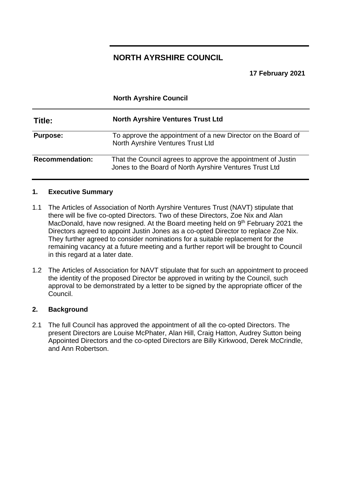# **NORTH AYRSHIRE COUNCIL**

**North Ayrshire Council**

**17 February 2021**

| Title:                 | <b>North Ayrshire Ventures Trust Ltd</b>                                                                                |
|------------------------|-------------------------------------------------------------------------------------------------------------------------|
| <b>Purpose:</b>        | To approve the appointment of a new Director on the Board of<br><b>North Ayrshire Ventures Trust Ltd</b>                |
| <b>Recommendation:</b> | That the Council agrees to approve the appointment of Justin<br>Jones to the Board of North Ayrshire Ventures Trust Ltd |

#### **1. Executive Summary**

- 1.1 The Articles of Association of North Ayrshire Ventures Trust (NAVT) stipulate that there will be five co-opted Directors. Two of these Directors, Zoe Nix and Alan MacDonald, have now resigned. At the Board meeting held on 9<sup>th</sup> February 2021 the Directors agreed to appoint Justin Jones as a co-opted Director to replace Zoe Nix. They further agreed to consider nominations for a suitable replacement for the remaining vacancy at a future meeting and a further report will be brought to Council in this regard at a later date.
- 1.2 The Articles of Association for NAVT stipulate that for such an appointment to proceed the identity of the proposed Director be approved in writing by the Council, such approval to be demonstrated by a letter to be signed by the appropriate officer of the Council.

#### **2. Background**

2.1 The full Council has approved the appointment of all the co-opted Directors. The present Directors are Louise McPhater, Alan Hill, Craig Hatton, Audrey Sutton being Appointed Directors and the co-opted Directors are Billy Kirkwood, Derek McCrindle, and Ann Robertson.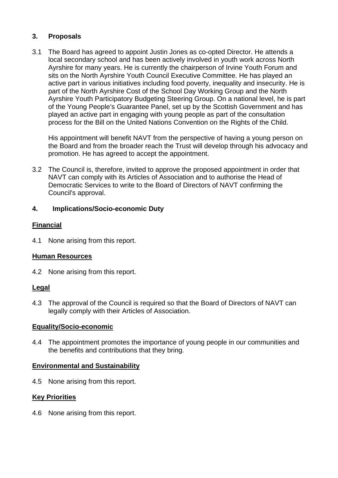## **3. Proposals**

3.1 The Board has agreed to appoint Justin Jones as co-opted Director. He attends a local secondary school and has been actively involved in youth work across North Ayrshire for many years. He is currently the chairperson of Irvine Youth Forum and sits on the North Ayrshire Youth Council Executive Committee. He has played an active part in various initiatives including food poverty, inequality and insecurity. He is part of the North Ayrshire Cost of the School Day Working Group and the North Ayrshire Youth Participatory Budgeting Steering Group. On a national level, he is part of the Young People's Guarantee Panel, set up by the Scottish Government and has played an active part in engaging with young people as part of the consultation process for the Bill on the United Nations Convention on the Rights of the Child.

His appointment will benefit NAVT from the perspective of having a young person on the Board and from the broader reach the Trust will develop through his advocacy and promotion. He has agreed to accept the appointment.

3.2 The Council is, therefore, invited to approve the proposed appointment in order that NAVT can comply with its Articles of Association and to authorise the Head of Democratic Services to write to the Board of Directors of NAVT confirming the Council's approval.

### **4. Implications/Socio-economic Duty**

### **Financial**

4.1 None arising from this report.

### **Human Resources**

4.2 None arising from this report.

### **Legal**

4.3 The approval of the Council is required so that the Board of Directors of NAVT can legally comply with their Articles of Association.

### **Equality/Socio-economic**

4.4 The appointment promotes the importance of young people in our communities and the benefits and contributions that they bring.

### **Environmental and Sustainability**

4.5 None arising from this report.

### **Key Priorities**

4.6 None arising from this report.